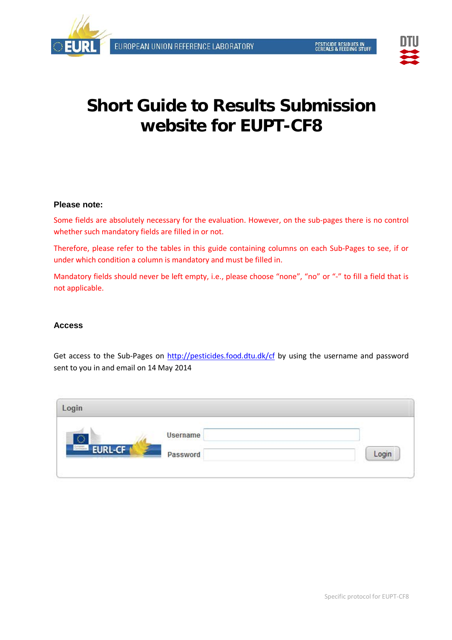



# **Short Guide to Results Submission website for EUPT-CF8**

## **Please note:**

Some fields are absolutely necessary for the evaluation. However, on the sub-pages there is no control whether such mandatory fields are filled in or not.

Therefore, please refer to the tables in this guide containing columns on each Sub-Pages to see, if or under which condition a column is mandatory and must be filled in.

Mandatory fields should never be left empty, i.e., please choose "none", "no" or "-" to fill a field that is not applicable.

# **Access**

Get access to the Sub-Pages on <http://pesticides.food.dtu.dk/cf> by using the username and password sent to you in and email on 14 May 2014

| Login                      |                 |       |
|----------------------------|-----------------|-------|
|                            | <b>Username</b> |       |
| <b>EURL-CF</b><br>Surfames | Password        | Login |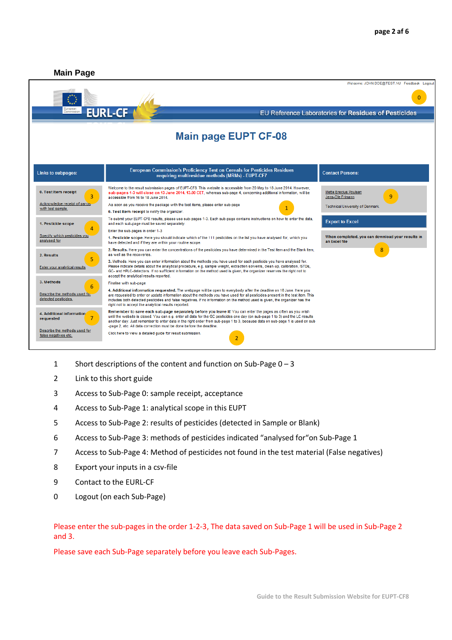

- Short descriptions of the content and function on Sub-Page 0 3
- Link to this short guide
- Access to Sub-Page 0: sample receipt, acceptance
- Access to Sub-Page 1: analytical scope in this EUPT
- Access to Sub-Page 2: results of pesticides (detected in Sample or Blank)
- Access to Sub-Page 3: methods of pesticides indicated "analysed for"on Sub-Page 1
- Access to Sub-Page 4: Method of pesticides not found in the test material (False negatives)
- Export your inputs in a csv-file
- Contact to the EURL-CF
- Logout (on each Sub-Page)

## Please enter the sub-pages in the order 1-2-3, The data saved on Sub-Page 1 will be used in Sub-Page 2 and 3.

Please save each Sub-Page separately before you leave each Sub-Pages.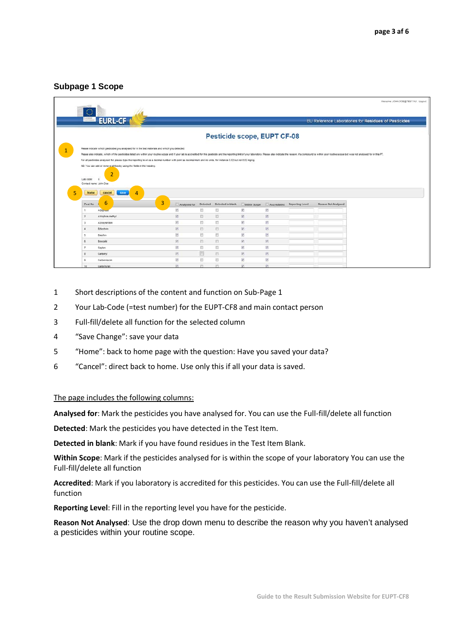# **Subpage 1 Scope**

|                                                         |                                                                                                                                                                                                                               |                                                        |          |                             |                            |                            |                 |                                                      | Welcome: JOHN DOE@TEST.NU Logout |
|---------------------------------------------------------|-------------------------------------------------------------------------------------------------------------------------------------------------------------------------------------------------------------------------------|--------------------------------------------------------|----------|-----------------------------|----------------------------|----------------------------|-----------------|------------------------------------------------------|----------------------------------|
| O<br>European                                           | <b>EURL-CF</b>                                                                                                                                                                                                                |                                                        |          |                             |                            |                            |                 | EU Reference Laboratories for Residues of Pesticides |                                  |
|                                                         |                                                                                                                                                                                                                               |                                                        |          |                             |                            |                            |                 |                                                      |                                  |
|                                                         |                                                                                                                                                                                                                               |                                                        |          | Pesticide scope, EUPT CF-08 |                            |                            |                 |                                                      |                                  |
|                                                         | Pease indicate which pesticides you analysed for in the test materials and which you detected.                                                                                                                                |                                                        |          |                             |                            |                            |                 |                                                      |                                  |
|                                                         | Please also indicate, which of the pesticides lated are within your routine scope and if your lab is accredited for this pesticide and the reporting limit of your laboratory. Please also indicate the reason, if a compound |                                                        |          |                             |                            |                            |                 |                                                      |                                  |
|                                                         | For all pesticides analysed for, please type the reporting level as a decimal number with point as decimal mark and no units, for instance 0.02 but not 0.02 mg/kg.                                                           |                                                        |          |                             |                            |                            |                 |                                                      |                                  |
|                                                         | NB: You can add or remove all tics by using the fields in the heading.                                                                                                                                                        |                                                        |          |                             |                            |                            |                 |                                                      |                                  |
|                                                         | 2                                                                                                                                                                                                                             |                                                        |          |                             |                            |                            |                 |                                                      |                                  |
| Lab node:<br>Contact name: John Doe<br>home<br>Pest No. | cancel<br>4<br>finve<br>6                                                                                                                                                                                                     | 3<br>Analysed for                                      | Detected | Detected in blank           | Wilhin Scope               | Accrediated                | Reporting Level | Reason Not Analysed                                  |                                  |
| $\mathbf{1}$                                            | Acepowle                                                                                                                                                                                                                      | 図                                                      | 置        | 固                           | 坚                          | 团                          |                 |                                                      |                                  |
| $\mathbf{z}$                                            | Azinphos-methyl                                                                                                                                                                                                               | 凶                                                      | 目        | 岜                           | 团                          | 团                          |                 |                                                      |                                  |
| $\mathbf{3}$                                            | Azoxystrobin                                                                                                                                                                                                                  | 团                                                      | m        | 置                           | $ \overline{\mathcal{G}} $ | 团                          |                 |                                                      |                                  |
|                                                         | <b>Bifenthrin</b>                                                                                                                                                                                                             | 図                                                      | B        | E)                          | 56                         | Ø.                         |                 |                                                      |                                  |
| 5                                                       | Bixafen                                                                                                                                                                                                                       | 図                                                      | 凹        | 目                           | 团                          | $\overline{\omega}$        |                 |                                                      |                                  |
|                                                         | Boscalid                                                                                                                                                                                                                      | $\overline{[0]}$                                       | 四        | 西                           | 図                          | 図                          |                 |                                                      |                                  |
|                                                         | Captan                                                                                                                                                                                                                        | $\vert \mathbf{v} \vert$                               | B        | 西                           | 窗                          | $\overline{\mathbb{R}}$    |                 |                                                      |                                  |
| s                                                       | Carbaryl                                                                                                                                                                                                                      | $\vert \Psi \rangle$                                   | 画        | 且                           | 図                          | $\overline{\mathcal{D}}_1$ |                 |                                                      |                                  |
|                                                         | Carbendazim                                                                                                                                                                                                                   | $\begin{bmatrix} \widetilde{\mathbf{w}} \end{bmatrix}$ | 西        | 西                           | 翅                          | 図                          |                 |                                                      |                                  |

- 1 Short descriptions of the content and function on Sub-Page 1
- 2 Your Lab-Code (=test number) for the EUPT-CF8 and main contact person
- 3 Full-fill/delete all function for the selected column
- 4 "Save Change": save your data
- 5 "Home": back to home page with the question: Have you saved your data?
- 6 "Cancel": direct back to home. Use only this if all your data is saved.

#### The page includes the following columns:

**Analysed for**: Mark the pesticides you have analysed for. You can use the Full-fill/delete all function

**Detected**: Mark the pesticides you have detected in the Test Item.

**Detected in blank**: Mark if you have found residues in the Test Item Blank.

**Within Scope**: Mark if the pesticides analysed for is within the scope of your laboratory You can use the Full-fill/delete all function

**Accredited**: Mark if you laboratory is accredited for this pesticides. You can use the Full-fill/delete all function

**Reporting Level**: Fill in the reporting level you have for the pesticide.

**Reason Not Analysed**: Use the drop down menu to describe the reason why you haven't analysed a pesticides within your routine scope.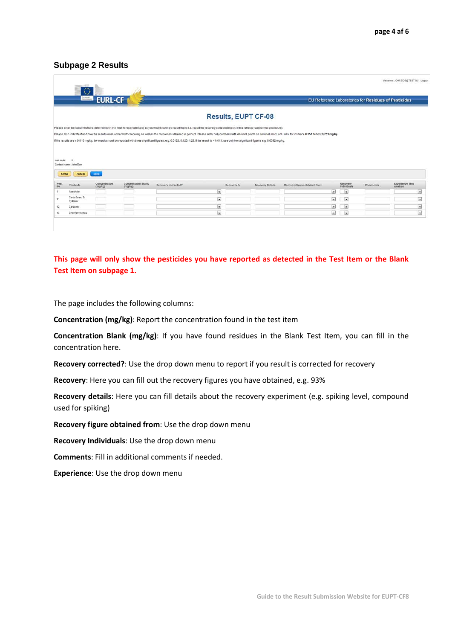## **Subpage 2 Results**

| Europeen                                    | <b>EURL-CF</b>           |                                |                                                                                                                                                                                                                                |                                       | EU Reference Laboratories for Residues of Pesticides |                                                      |          |                                   |  |
|---------------------------------------------|--------------------------|--------------------------------|--------------------------------------------------------------------------------------------------------------------------------------------------------------------------------------------------------------------------------|---------------------------------------|------------------------------------------------------|------------------------------------------------------|----------|-----------------------------------|--|
|                                             |                          |                                |                                                                                                                                                                                                                                | <b>Results, EUPT CF-08</b>            |                                                      |                                                      |          |                                   |  |
|                                             |                          |                                | Please enter the concentrations determined in the Test Items (materials) as you would routinely report them (i.e. report the recovery-corrected result, if this reflects your normal procedure).                               |                                       |                                                      |                                                      |          |                                   |  |
|                                             |                          |                                | Please also indicate if and how the results were corrected for recovery as well as the recoveries obtained in percent. Please enter only numbers with decimal points as decimal mark, not units, for instance 0.251 but not 0. |                                       |                                                      |                                                      |          |                                   |  |
|                                             |                          |                                | f the results are a 0.010 mg/kg, the results must be reported with three significant figures, e.g. 0.0123, 0.123, 1.23. If the result is < 0.010, use only two significant figures e.g. 0.0092 mg/kg.                          |                                       |                                                      |                                                      |          |                                   |  |
|                                             |                          |                                |                                                                                                                                                                                                                                |                                       |                                                      |                                                      |          |                                   |  |
|                                             |                          |                                |                                                                                                                                                                                                                                |                                       |                                                      |                                                      |          |                                   |  |
|                                             |                          |                                |                                                                                                                                                                                                                                |                                       |                                                      |                                                      |          |                                   |  |
|                                             |                          |                                |                                                                                                                                                                                                                                |                                       |                                                      |                                                      |          |                                   |  |
| $\circ$                                     |                          |                                |                                                                                                                                                                                                                                |                                       |                                                      |                                                      |          |                                   |  |
|                                             |                          |                                |                                                                                                                                                                                                                                |                                       |                                                      |                                                      |          |                                   |  |
| cancel                                      | save                     |                                |                                                                                                                                                                                                                                |                                       |                                                      |                                                      |          |                                   |  |
| Lab code:<br>Contact name: John Doe<br>home |                          |                                |                                                                                                                                                                                                                                |                                       |                                                      |                                                      |          |                                   |  |
| Pesticide                                   | Concentration<br>(ma/ka) | Concentration Blank<br>(mg/kg) | Recovery corrected?                                                                                                                                                                                                            | Recovery %<br><b>Recovery Details</b> | Recovery figure obtained from                        | Recovery<br>Individuals                              | Comments | <b>Experience This</b><br>Analyse |  |
| Acephate                                    |                          |                                | $\overline{\phantom{a}}$                                                                                                                                                                                                       |                                       | $\left  \frac{1}{2} \right $                         | $\overline{\phantom{a}}$                             |          |                                   |  |
| Carbofuran, 3-                              |                          |                                |                                                                                                                                                                                                                                |                                       |                                                      |                                                      |          |                                   |  |
| trydraxy                                    |                          | ____                           | $\overline{\phantom{a}}$                                                                                                                                                                                                       |                                       | $\vert x \vert$                                      | $\vert x \vert$                                      |          |                                   |  |
| Pest<br>No<br>Carboxin                      |                          |                                | $\blacksquare$<br>$\overline{\phantom{a}}$                                                                                                                                                                                     |                                       | ы<br>$\overline{\phantom{a}}$                        | $\overline{\phantom{a}}$<br>$\overline{\phantom{a}}$ |          |                                   |  |

# **This page will only show the pesticides you have reported as detected in the Test Item or the Blank Test Item on subpage 1.**

#### The page includes the following columns:

**Concentration (mg/kg)**: Report the concentration found in the test item

**Concentration Blank (mg/kg)**: If you have found residues in the Blank Test Item, you can fill in the concentration here.

**Recovery corrected?**: Use the drop down menu to report if you result is corrected for recovery

**Recovery**: Here you can fill out the recovery figures you have obtained, e.g. 93%

**Recovery details**: Here you can fill details about the recovery experiment (e.g. spiking level, compound used for spiking)

**Recovery figure obtained from**: Use the drop down menu

**Recovery Individuals**: Use the drop down menu

**Comments**: Fill in additional comments if needed.

**Experience**: Use the drop down menu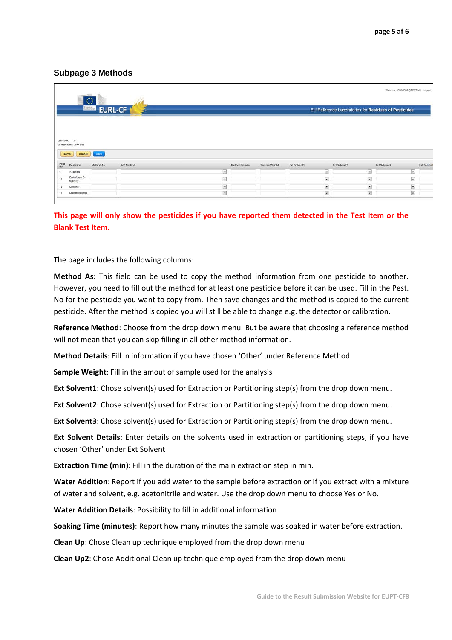# **Subpage 3 Methods**

|                                 |                                     | $\langle \rangle$<br>Europian<br>Communist | <b>EURL-CF</b>    |                 |                |               |                         | EU Reference Laboratories for Residues of Pesticides | Welcome: JOHN DOE@TEST.NU Logout |                       |
|---------------------------------|-------------------------------------|--------------------------------------------|-------------------|-----------------|----------------|---------------|-------------------------|------------------------------------------------------|----------------------------------|-----------------------|
|                                 | $\circ$                             |                                            |                   |                 |                |               |                         |                                                      |                                  |                       |
| Lab code:<br>home<br>Pest<br>No | Contact name: John Doe<br>Penticide | cancel <b>Cancel</b><br>Method As          | <b>Ref Method</b> |                 | Method Details | Sample Weight | Est Solventt            | Est Solvent2                                         | Est Solvent3                     | Ext Solvent           |
|                                 | Acephate                            |                                            |                   | $\overline{a}$  |                |               | $\vert$                 | $\overline{\mathbf{x}}$                              |                                  | $\vert$               |
| 11                              | Carbofuran, 3-<br>hydroxy           |                                            |                   | $\vert x \vert$ |                |               | $\overline{\mathbf{z}}$ | $\overline{\mathbf{x}}$                              |                                  | $\overline{r}$        |
| 12                              | Carboxin                            |                                            |                   | im.             |                |               | $\vert \cdot \vert$     | $\vert \bullet \vert$                                |                                  | $\vert \bullet \vert$ |

# **This page will only show the pesticides if you have reported them detected in the Test Item or the Blank Test Item.**

#### The page includes the following columns:

**Method As**: This field can be used to copy the method information from one pesticide to another. However, you need to fill out the method for at least one pesticide before it can be used. Fill in the Pest. No for the pesticide you want to copy from. Then save changes and the method is copied to the current pesticide. After the method is copied you will still be able to change e.g. the detector or calibration.

**Reference Method**: Choose from the drop down menu. But be aware that choosing a reference method will not mean that you can skip filling in all other method information.

**Method Details**: Fill in information if you have chosen 'Other' under Reference Method.

**Sample Weight**: Fill in the amout of sample used for the analysis

**Ext Solvent1**: Chose solvent(s) used for Extraction or Partitioning step(s) from the drop down menu.

**Ext Solvent2**: Chose solvent(s) used for Extraction or Partitioning step(s) from the drop down menu.

**Ext Solvent3**: Chose solvent(s) used for Extraction or Partitioning step(s) from the drop down menu.

**Ext Solvent Details**: Enter details on the solvents used in extraction or partitioning steps, if you have chosen 'Other' under Ext Solvent

**Extraction Time (min)**: Fill in the duration of the main extraction step in min.

**Water Addition**: Report if you add water to the sample before extraction or if you extract with a mixture of water and solvent, e.g. acetonitrile and water. Use the drop down menu to choose Yes or No.

**Water Addition Details**: Possibility to fill in additional information

**Soaking Time (minutes)**: Report how many minutes the sample was soaked in water before extraction.

**Clean Up**: Chose Clean up technique employed from the drop down menu

**Clean Up2**: Chose Additional Clean up technique employed from the drop down menu